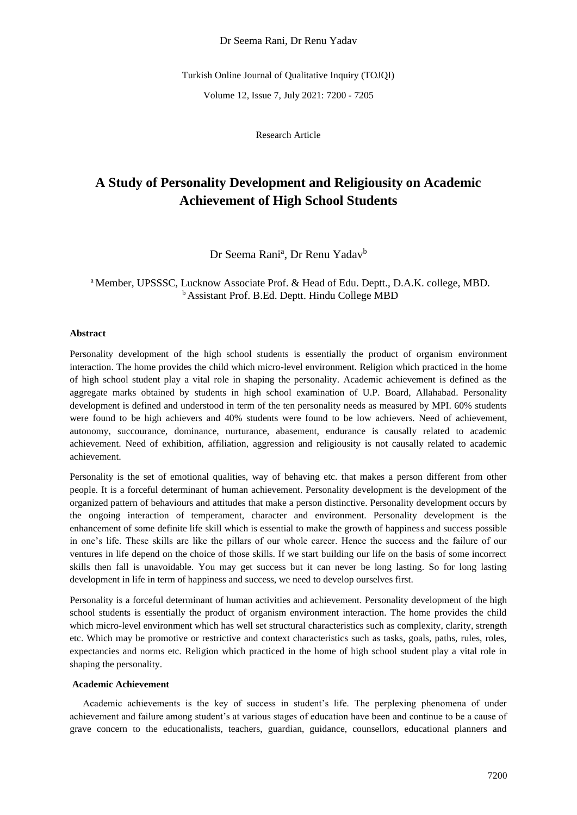Dr Seema Rani, Dr Renu Yadav

Turkish Online Journal of Qualitative Inquiry (TOJQI)

Volume 12, Issue 7, July 2021: 7200 - 7205

Research Article

# **A Study of Personality Development and Religiousity on Academic Achievement of High School Students**

Dr Seema Rani<sup>a</sup>, Dr Renu Yadav<sup>b</sup>

# <sup>a</sup> Member, UPSSSC, Lucknow Associate Prof. & Head of Edu. Deptt., D.A.K. college, MBD. <sup>b</sup>Assistant Prof. B.Ed. Deptt. Hindu College MBD

#### **Abstract**

Personality development of the high school students is essentially the product of organism environment interaction. The home provides the child which micro-level environment. Religion which practiced in the home of high school student play a vital role in shaping the personality. Academic achievement is defined as the aggregate marks obtained by students in high school examination of U.P. Board, Allahabad. Personality development is defined and understood in term of the ten personality needs as measured by MPI. 60% students were found to be high achievers and 40% students were found to be low achievers. Need of achievement, autonomy, succourance, dominance, nurturance, abasement, endurance is causally related to academic achievement. Need of exhibition, affiliation, aggression and religiousity is not causally related to academic achievement.

Personality is the set of emotional qualities, way of behaving etc. that makes a person different from other people. It is a forceful determinant of human achievement. Personality development is the development of the organized pattern of behaviours and attitudes that make a person distinctive. Personality development occurs by the ongoing interaction of temperament, character and environment. Personality development is the enhancement of some definite life skill which is essential to make the growth of happiness and success possible in one's life. These skills are like the pillars of our whole career. Hence the success and the failure of our ventures in life depend on the choice of those skills. If we start building our life on the basis of some incorrect skills then fall is unavoidable. You may get success but it can never be long lasting. So for long lasting development in life in term of happiness and success, we need to develop ourselves first.

Personality is a forceful determinant of human activities and achievement. Personality development of the high school students is essentially the product of organism environment interaction. The home provides the child which micro-level environment which has well set structural characteristics such as complexity, clarity, strength etc. Which may be promotive or restrictive and context characteristics such as tasks, goals, paths, rules, roles, expectancies and norms etc. Religion which practiced in the home of high school student play a vital role in shaping the personality.

#### **Academic Achievement**

Academic achievements is the key of success in student's life. The perplexing phenomena of under achievement and failure among student's at various stages of education have been and continue to be a cause of grave concern to the educationalists, teachers, guardian, guidance, counsellors, educational planners and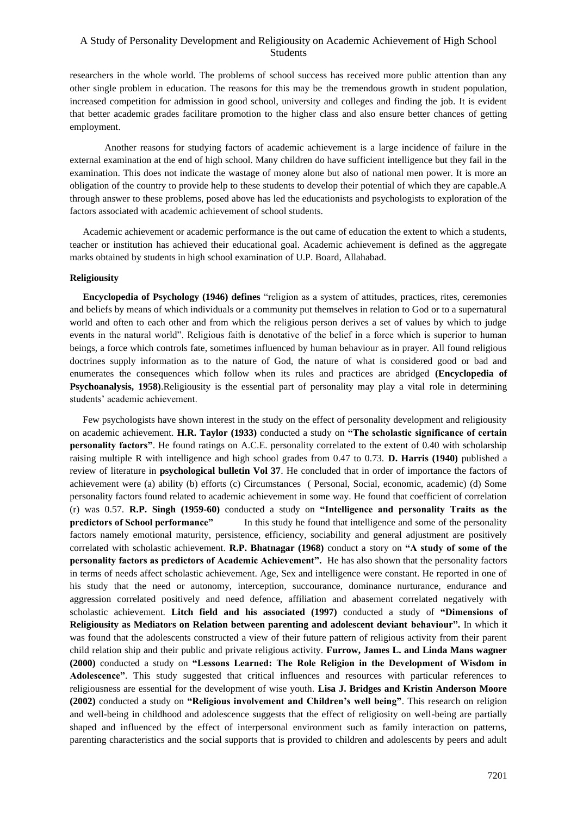# A Study of Personality Development and Religiousity on Academic Achievement of High School Students

researchers in the whole world. The problems of school success has received more public attention than any other single problem in education. The reasons for this may be the tremendous growth in student population, increased competition for admission in good school, university and colleges and finding the job. It is evident that better academic grades facilitare promotion to the higher class and also ensure better chances of getting employment.

Another reasons for studying factors of academic achievement is a large incidence of failure in the external examination at the end of high school. Many children do have sufficient intelligence but they fail in the examination. This does not indicate the wastage of money alone but also of national men power. It is more an obligation of the country to provide help to these students to develop their potential of which they are capable.A through answer to these problems, posed above has led the educationists and psychologists to exploration of the factors associated with academic achievement of school students.

Academic achievement or academic performance is the out came of education the extent to which a students, teacher or institution has achieved their educational goal. Academic achievement is defined as the aggregate marks obtained by students in high school examination of U.P. Board, Allahabad.

#### **Religiousity**

**Encyclopedia of Psychology (1946) defines** "religion as a system of attitudes, practices, rites, ceremonies and beliefs by means of which individuals or a community put themselves in relation to God or to a supernatural world and often to each other and from which the religious person derives a set of values by which to judge events in the natural world". Religious faith is denotative of the belief in a force which is superior to human beings, a force which controls fate, sometimes influenced by human behaviour as in prayer. All found religious doctrines supply information as to the nature of God, the nature of what is considered good or bad and enumerates the consequences which follow when its rules and practices are abridged **(Encyclopedia of Psychoanalysis, 1958)**.Religiousity is the essential part of personality may play a vital role in determining students' academic achievement.

Few psychologists have shown interest in the study on the effect of personality development and religiousity on academic achievement. **H.R. Taylor (1933)** conducted a study on **"The scholastic significance of certain personality factors"**. He found ratings on A.C.E. personality correlated to the extent of 0.40 with scholarship raising multiple R with intelligence and high school grades from 0.47 to 0.73. **D. Harris (1940)** published a review of literature in **psychological bulletin Vol 37**. He concluded that in order of importance the factors of achievement were (a) ability (b) efforts (c) Circumstances ( Personal, Social, economic, academic) (d) Some personality factors found related to academic achievement in some way. He found that coefficient of correlation (r) was 0.57. **R.P. Singh (1959-60)** conducted a study on **"Intelligence and personality Traits as the predictors of School performance"** In this study he found that intelligence and some of the personality factors namely emotional maturity, persistence, efficiency, sociability and general adjustment are positively correlated with scholastic achievement. **R.P. Bhatnagar (1968)** conduct a story on **"A study of some of the personality factors as predictors of Academic Achievement".** He has also shown that the personality factors in terms of needs affect scholastic achievement. Age, Sex and intelligence were constant. He reported in one of his study that the need or autonomy, interception, succourance, dominance nurturance, endurance and aggression correlated positively and need defence, affiliation and abasement correlated negatively with scholastic achievement. **Litch field and his associated (1997)** conducted a study of **"Dimensions of Religiousity as Mediators on Relation between parenting and adolescent deviant behaviour".** In which it was found that the adolescents constructed a view of their future pattern of religious activity from their parent child relation ship and their public and private religious activity. **Furrow, James L. and Linda Mans wagner (2000)** conducted a study on **"Lessons Learned: The Role Religion in the Development of Wisdom in Adolescence"**. This study suggested that critical influences and resources with particular references to religiousness are essential for the development of wise youth. **Lisa J. Bridges and Kristin Anderson Moore (2002)** conducted a study on **"Religious involvement and Children's well being"**. This research on religion and well-being in childhood and adolescence suggests that the effect of religiosity on well-being are partially shaped and influenced by the effect of interpersonal environment such as family interaction on patterns, parenting characteristics and the social supports that is provided to children and adolescents by peers and adult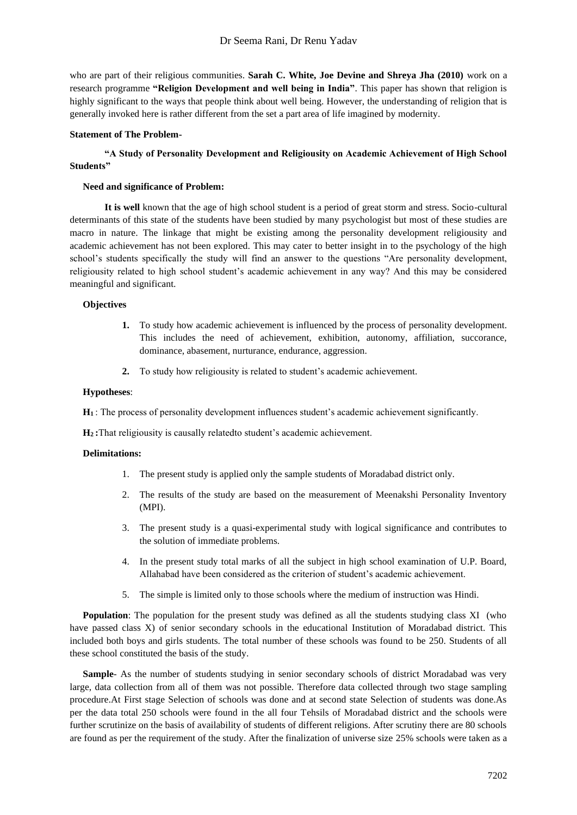who are part of their religious communities. **Sarah C. White, Joe Devine and Shreya Jha (2010)** work on a research programme **"Religion Development and well being in India"**. This paper has shown that religion is highly significant to the ways that people think about well being. However, the understanding of religion that is generally invoked here is rather different from the set a part area of life imagined by modernity.

## **Statement of The Problem-**

# **"A Study of Personality Development and Religiousity on Academic Achievement of High School Students"**

## **Need and significance of Problem:**

**It is well** known that the age of high school student is a period of great storm and stress. Socio-cultural determinants of this state of the students have been studied by many psychologist but most of these studies are macro in nature. The linkage that might be existing among the personality development religiousity and academic achievement has not been explored. This may cater to better insight in to the psychology of the high school's students specifically the study will find an answer to the questions "Are personality development, religiousity related to high school student's academic achievement in any way? And this may be considered meaningful and significant.

#### **Objectives**

- **1.** To study how academic achievement is influenced by the process of personality development. This includes the need of achievement, exhibition, autonomy, affiliation, succorance, dominance, abasement, nurturance, endurance, aggression.
- **2.** To study how religiousity is related to student's academic achievement.

#### **Hypotheses**:

**H1** : The process of personality development influences student's academic achievement significantly.

**H2 :**That religiousity is causally relatedto student's academic achievement.

## **Delimitations:**

- 1. The present study is applied only the sample students of Moradabad district only.
- 2. The results of the study are based on the measurement of Meenakshi Personality Inventory (MPI).
- 3. The present study is a quasi-experimental study with logical significance and contributes to the solution of immediate problems.
- 4. In the present study total marks of all the subject in high school examination of U.P. Board, Allahabad have been considered as the criterion of student's academic achievement.
- 5. The simple is limited only to those schools where the medium of instruction was Hindi.

**Population**: The population for the present study was defined as all the students studying class XI (who have passed class X) of senior secondary schools in the educational Institution of Moradabad district. This included both boys and girls students. The total number of these schools was found to be 250. Students of all these school constituted the basis of the study.

Sample- As the number of students studying in senior secondary schools of district Moradabad was very large, data collection from all of them was not possible. Therefore data collected through two stage sampling procedure.At First stage Selection of schools was done and at second state Selection of students was done.As per the data total 250 schools were found in the all four Tehsils of Moradabad district and the schools were further scrutinize on the basis of availability of students of different religions. After scrutiny there are 80 schools are found as per the requirement of the study. After the finalization of universe size 25% schools were taken as a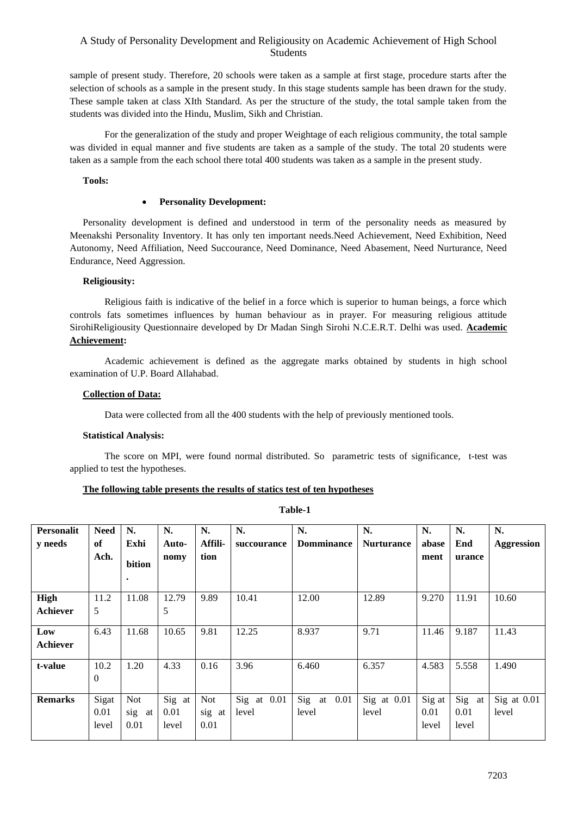# A Study of Personality Development and Religiousity on Academic Achievement of High School Students

sample of present study. Therefore, 20 schools were taken as a sample at first stage, procedure starts after the selection of schools as a sample in the present study. In this stage students sample has been drawn for the study. These sample taken at class XIth Standard. As per the structure of the study, the total sample taken from the students was divided into the Hindu, Muslim, Sikh and Christian.

For the generalization of the study and proper Weightage of each religious community, the total sample was divided in equal manner and five students are taken as a sample of the study. The total 20 students were taken as a sample from the each school there total 400 students was taken as a sample in the present study.

## **Tools:**

## • **Personality Development:**

Personality development is defined and understood in term of the personality needs as measured by Meenakshi Personality Inventory. It has only ten important needs.Need Achievement, Need Exhibition, Need Autonomy, Need Affiliation, Need Succourance, Need Dominance, Need Abasement, Need Nurturance, Need Endurance, Need Aggression.

#### **Religiousity:**

Religious faith is indicative of the belief in a force which is superior to human beings, a force which controls fats sometimes influences by human behaviour as in prayer. For measuring religious attitude SirohiReligiousity Questionnaire developed by Dr Madan Singh Sirohi N.C.E.R.T. Delhi was used. **Academic Achievement:** 

Academic achievement is defined as the aggregate marks obtained by students in high school examination of U.P. Board Allahabad.

#### **Collection of Data:**

Data were collected from all the 400 students with the help of previously mentioned tools.

#### **Statistical Analysis:**

The score on MPI, were found normal distributed. So parametric tests of significance, t-test was applied to test the hypotheses.

#### **The following table presents the results of statics test of ten hypotheses**

**Table-1**

| Personalit<br>y needs   | <b>Need</b><br>of<br>Ach. | N.<br>Exhi<br>bition<br>$\bullet$ | N.<br>Auto-<br>nomy     | N.<br>Affili-<br>tion | N.<br>succourance    | N.<br><b>Domminance</b> | N.<br><b>Nurturance</b> | N.<br>abase<br>ment     | N.<br>End<br>urance     | N.<br><b>Aggression</b> |
|-------------------------|---------------------------|-----------------------------------|-------------------------|-----------------------|----------------------|-------------------------|-------------------------|-------------------------|-------------------------|-------------------------|
| High<br><b>Achiever</b> | 11.2<br>5                 | 11.08                             | 12.79<br>5              | 9.89                  | 10.41                | 12.00                   | 12.89                   | 9.270                   | 11.91                   | 10.60                   |
| Low<br><b>Achiever</b>  | 6.43                      | 11.68                             | 10.65                   | 9.81                  | 12.25                | 8.937                   | 9.71                    | 11.46                   | 9.187                   | 11.43                   |
| t-value                 | 10.2<br>$\theta$          | 1.20                              | 4.33                    | 0.16                  | 3.96                 | 6.460                   | 6.357                   | 4.583                   | 5.558                   | 1.490                   |
| <b>Remarks</b>          | Sigat<br>0.01<br>level    | <b>Not</b><br>sig at<br>0.01      | Sig at<br>0.01<br>level | Not<br>sig at<br>0.01 | Sig at 0.01<br>level | Sig<br>at 0.01<br>level | Sig at 0.01<br>level    | Sig at<br>0.01<br>level | Sig at<br>0.01<br>level | Sig at 0.01<br>level    |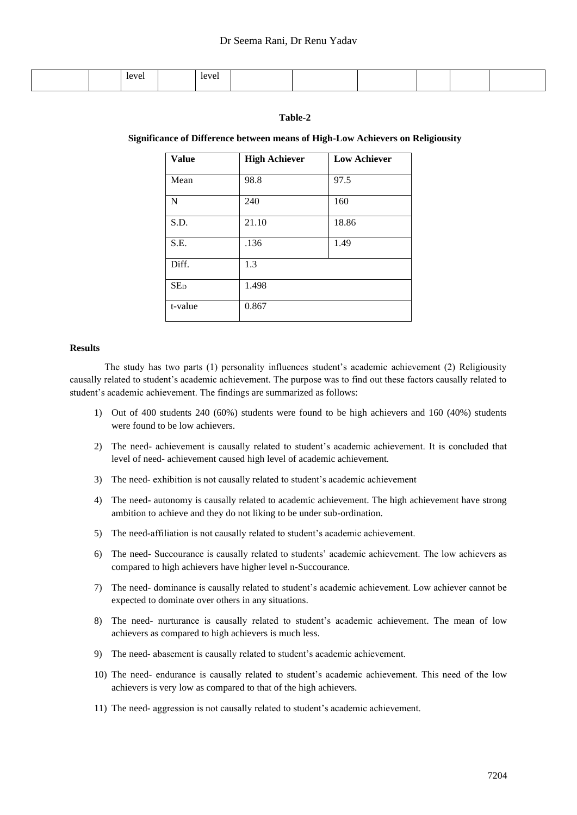|  | level<br>$\sim$ $\sim$ $\sim$ | $\sim$ $\sim$ $\sim$ |  |  |  |
|--|-------------------------------|----------------------|--|--|--|
|  |                               |                      |  |  |  |

## **Table-2**

#### **Significance of Difference between means of High-Low Achievers on Religiousity**

| <b>Value</b>    | <b>High Achiever</b> | <b>Low Achiever</b> |
|-----------------|----------------------|---------------------|
| Mean            | 98.8                 | 97.5                |
| N               | 240                  | 160                 |
| S.D.            | 21.10                | 18.86               |
| S.E.            | .136                 | 1.49                |
| Diff.           | 1.3                  |                     |
| SE <sub>D</sub> | 1.498                |                     |
| t-value         | 0.867                |                     |

#### **Results**

The study has two parts (1) personality influences student's academic achievement (2) Religiousity causally related to student's academic achievement. The purpose was to find out these factors causally related to student's academic achievement. The findings are summarized as follows:

- 1) Out of 400 students 240 (60%) students were found to be high achievers and 160 (40%) students were found to be low achievers.
- 2) The need- achievement is causally related to student's academic achievement. It is concluded that level of need- achievement caused high level of academic achievement.
- 3) The need- exhibition is not causally related to student's academic achievement
- 4) The need- autonomy is causally related to academic achievement. The high achievement have strong ambition to achieve and they do not liking to be under sub-ordination.
- 5) The need-affiliation is not causally related to student's academic achievement.
- 6) The need- Succourance is causally related to students' academic achievement. The low achievers as compared to high achievers have higher level n-Succourance.
- 7) The need- dominance is causally related to student's academic achievement. Low achiever cannot be expected to dominate over others in any situations.
- 8) The need- nurturance is causally related to student's academic achievement. The mean of low achievers as compared to high achievers is much less.
- 9) The need- abasement is causally related to student's academic achievement.
- 10) The need- endurance is causally related to student's academic achievement. This need of the low achievers is very low as compared to that of the high achievers.
- 11) The need- aggression is not causally related to student's academic achievement.